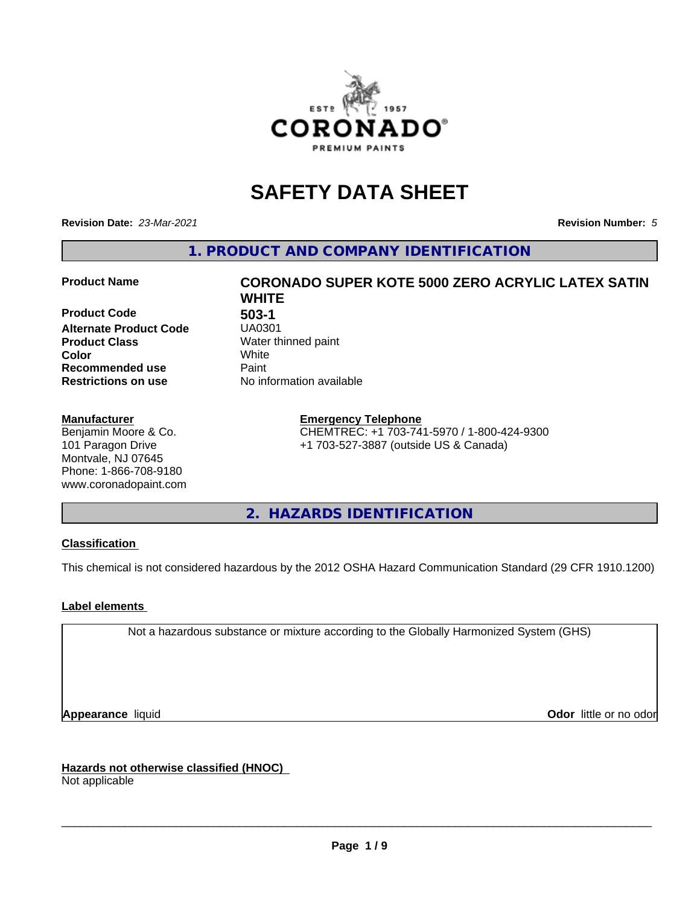

## **SAFETY DATA SHEET**

**Revision Date:** *23-Mar-2021* **Revision Number:** *5*

**1. PRODUCT AND COMPANY IDENTIFICATION**

**Product Code 61 1303-1<br>Alternate Product Code 61 140301 Alternate Product Code Product Class** Water thinned paint<br> **Color** White **Color** White **Recommended use Caint Restrictions on use** No information available

#### **Manufacturer**

Benjamin Moore & Co. 101 Paragon Drive Montvale, NJ 07645 Phone: 1-866-708-9180 www.coronadopaint.com

# **Product Name CORONADO SUPER KOTE 5000 ZERO ACRYLIC LATEX SATIN WHITE**

**Emergency Telephone** CHEMTREC: +1 703-741-5970 / 1-800-424-9300 +1 703-527-3887 (outside US & Canada)

**2. HAZARDS IDENTIFICATION**

#### **Classification**

This chemical is not considered hazardous by the 2012 OSHA Hazard Communication Standard (29 CFR 1910.1200)

#### **Label elements**

Not a hazardous substance or mixture according to the Globally Harmonized System (GHS)

**Appearance** liquid **Contract Contract Contract Contract Contract Contract Contract Contract Contract Contract Contract Contract Contract Contract Contract Contract Contract Contract Contract Contract Contract Contract Con** 

**Hazards not otherwise classified (HNOC)**

Not applicable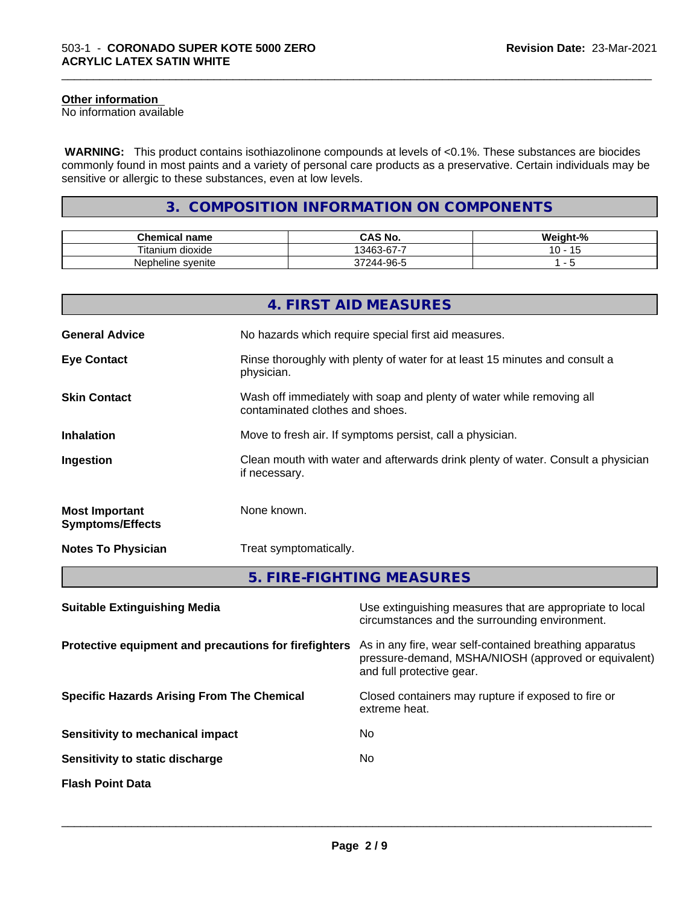#### **Other information**

No information available

 **WARNING:** This product contains isothiazolinone compounds at levels of <0.1%. These substances are biocides commonly found in most paints and a variety of personal care products as a preservative. Certain individuals may be sensitive or allergic to these substances, even at low levels.

\_\_\_\_\_\_\_\_\_\_\_\_\_\_\_\_\_\_\_\_\_\_\_\_\_\_\_\_\_\_\_\_\_\_\_\_\_\_\_\_\_\_\_\_\_\_\_\_\_\_\_\_\_\_\_\_\_\_\_\_\_\_\_\_\_\_\_\_\_\_\_\_\_\_\_\_\_\_\_\_\_\_\_\_\_\_\_\_\_\_\_\_\_

#### **3. COMPOSITION INFORMATION ON COMPONENTS**

| ---<br>'hemical name<br>u            | CAS No.                                         | $\mathbf{r}$<br>- 70 |
|--------------------------------------|-------------------------------------------------|----------------------|
| $- \cdot$ .<br>⊺itanium<br>. dioxide | $\sim$<br>-<br>13463<br>.<br>.                  |                      |
| Nepheline syenite                    | -96-5<br>$\overline{\phantom{a}}$<br>14 L<br>טי |                      |

|                                                  | 4. FIRST AID MEASURES                                                                                    |
|--------------------------------------------------|----------------------------------------------------------------------------------------------------------|
| <b>General Advice</b>                            | No hazards which require special first aid measures.                                                     |
| <b>Eye Contact</b>                               | Rinse thoroughly with plenty of water for at least 15 minutes and consult a<br>physician.                |
| <b>Skin Contact</b>                              | Wash off immediately with soap and plenty of water while removing all<br>contaminated clothes and shoes. |
| <b>Inhalation</b>                                | Move to fresh air. If symptoms persist, call a physician.                                                |
| Ingestion                                        | Clean mouth with water and afterwards drink plenty of water. Consult a physician<br>if necessary.        |
| <b>Most Important</b><br><b>Symptoms/Effects</b> | None known.                                                                                              |
| <b>Notes To Physician</b>                        | Treat symptomatically.                                                                                   |
|                                                  | 5. FIRE-FIGHTING MEASURES                                                                                |

| <b>Suitable Extinguishing Media</b>                   | Use extinguishing measures that are appropriate to local<br>circumstances and the surrounding environment.                                   |
|-------------------------------------------------------|----------------------------------------------------------------------------------------------------------------------------------------------|
| Protective equipment and precautions for firefighters | As in any fire, wear self-contained breathing apparatus<br>pressure-demand, MSHA/NIOSH (approved or equivalent)<br>and full protective gear. |
| <b>Specific Hazards Arising From The Chemical</b>     | Closed containers may rupture if exposed to fire or<br>extreme heat.                                                                         |
| Sensitivity to mechanical impact                      | No.                                                                                                                                          |
| Sensitivity to static discharge                       | No.                                                                                                                                          |
| <b>Flash Point Data</b>                               |                                                                                                                                              |
|                                                       |                                                                                                                                              |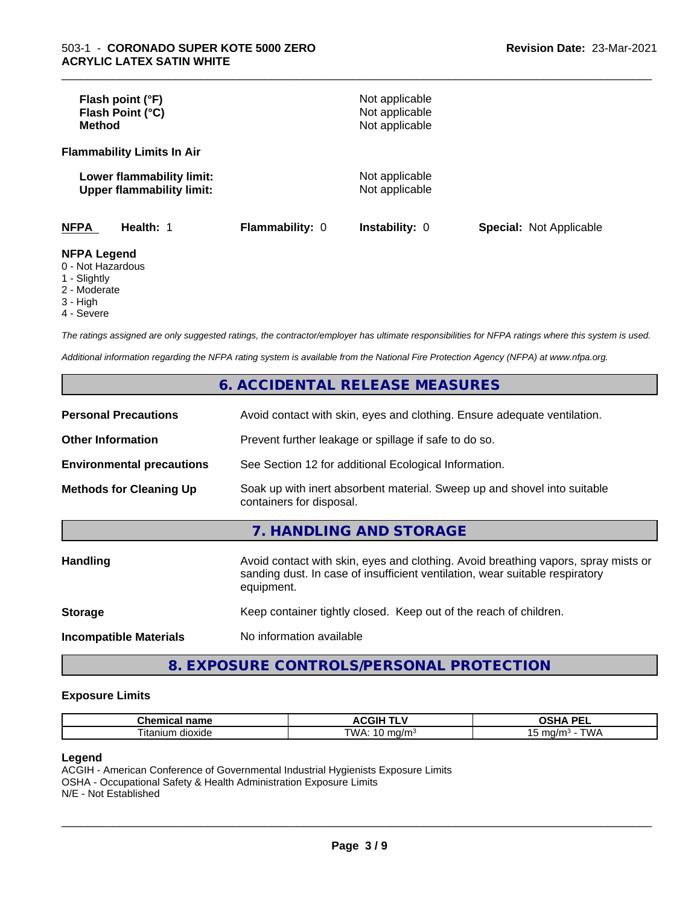| Flash point (°F)<br>Flash Point (°C)<br><b>Method</b>                |                 | Not applicable<br>Not applicable<br>Not applicable |                                |
|----------------------------------------------------------------------|-----------------|----------------------------------------------------|--------------------------------|
| <b>Flammability Limits In Air</b>                                    |                 |                                                    |                                |
| Lower flammability limit:<br><b>Upper flammability limit:</b>        |                 | Not applicable<br>Not applicable                   |                                |
| <b>NFPA</b><br>Health: 1                                             | Flammability: 0 | <b>Instability: 0</b>                              | <b>Special: Not Applicable</b> |
| <b>NFPA Legend</b><br>0 - Not Hazardous<br>$\overline{A}$ Clientable |                 |                                                    |                                |

\_\_\_\_\_\_\_\_\_\_\_\_\_\_\_\_\_\_\_\_\_\_\_\_\_\_\_\_\_\_\_\_\_\_\_\_\_\_\_\_\_\_\_\_\_\_\_\_\_\_\_\_\_\_\_\_\_\_\_\_\_\_\_\_\_\_\_\_\_\_\_\_\_\_\_\_\_\_\_\_\_\_\_\_\_\_\_\_\_\_\_\_\_

#### 1 - Slightly

- 2 Moderate
- 3 High
- 

4 - Severe

*The ratings assigned are only suggested ratings, the contractor/employer has ultimate responsibilities for NFPA ratings where this system is used.*

*Additional information regarding the NFPA rating system is available from the National Fire Protection Agency (NFPA) at www.nfpa.org.*

#### **6. ACCIDENTAL RELEASE MEASURES**

| <b>Personal Precautions</b>      | Avoid contact with skin, eyes and clothing. Ensure adequate ventilation.                                                                                                         |
|----------------------------------|----------------------------------------------------------------------------------------------------------------------------------------------------------------------------------|
| <b>Other Information</b>         | Prevent further leakage or spillage if safe to do so.                                                                                                                            |
| <b>Environmental precautions</b> | See Section 12 for additional Ecological Information.                                                                                                                            |
| <b>Methods for Cleaning Up</b>   | Soak up with inert absorbent material. Sweep up and shovel into suitable<br>containers for disposal.                                                                             |
|                                  | 7. HANDLING AND STORAGE                                                                                                                                                          |
| Handling                         | Avoid contact with skin, eyes and clothing. Avoid breathing vapors, spray mists or<br>sanding dust. In case of insufficient ventilation, wear suitable respiratory<br>equipment. |
| <b>Storage</b>                   | Keep container tightly closed. Keep out of the reach of children.                                                                                                                |
| <b>Incompatible Materials</b>    | No information available                                                                                                                                                         |

#### **8. EXPOSURE CONTROLS/PERSONAL PROTECTION**

#### **Exposure Limits**

| name<br>⊸nemicai <del>r</del>  | л.<br>---        | <b>DE</b><br>--                            |
|--------------------------------|------------------|--------------------------------------------|
| $ \sim$<br>dioxide<br>⊣tar<br> | "WA:<br>…ia/m∘ i | <b>TIAII</b><br>mo<br>nQ/r<br>v v z<br>. . |

#### **Legend**

ACGIH - American Conference of Governmental Industrial Hygienists Exposure Limits OSHA - Occupational Safety & Health Administration Exposure Limits N/E - Not Established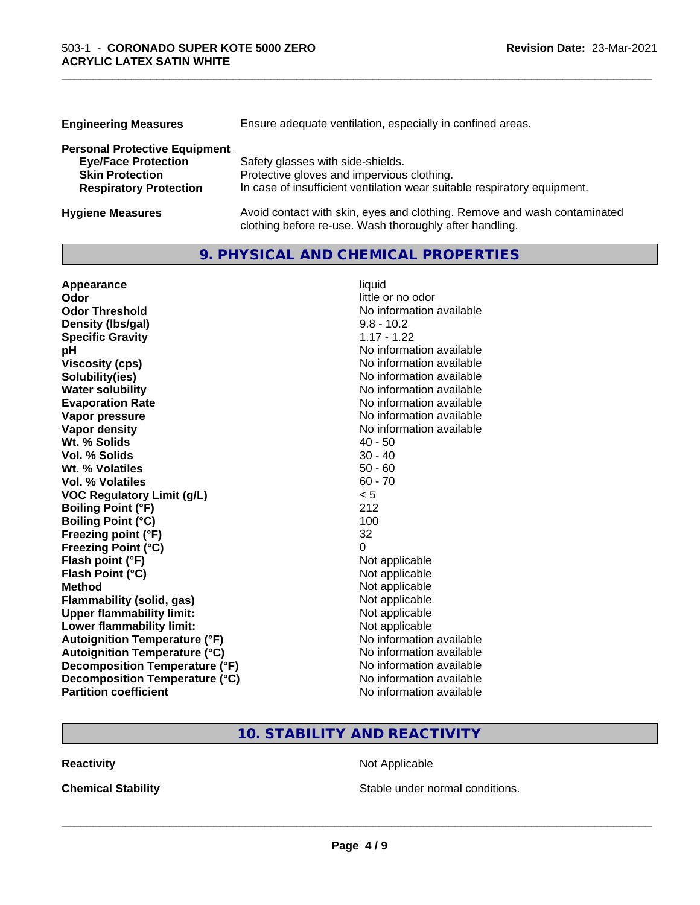| <b>Engineering Measures</b>          | Ensure adequate ventilation, especially in confined areas.               |  |  |
|--------------------------------------|--------------------------------------------------------------------------|--|--|
| <b>Personal Protective Equipment</b> |                                                                          |  |  |
| <b>Eye/Face Protection</b>           | Safety glasses with side-shields.                                        |  |  |
| <b>Skin Protection</b>               | Protective gloves and impervious clothing.                               |  |  |
| <b>Respiratory Protection</b>        | In case of insufficient ventilation wear suitable respiratory equipment. |  |  |
| <b>Hygiene Measures</b>              | Avoid contact with skin, eyes and clothing. Remove and wash contaminated |  |  |

clothing before re-use. Wash thoroughly after handling.

\_\_\_\_\_\_\_\_\_\_\_\_\_\_\_\_\_\_\_\_\_\_\_\_\_\_\_\_\_\_\_\_\_\_\_\_\_\_\_\_\_\_\_\_\_\_\_\_\_\_\_\_\_\_\_\_\_\_\_\_\_\_\_\_\_\_\_\_\_\_\_\_\_\_\_\_\_\_\_\_\_\_\_\_\_\_\_\_\_\_\_\_\_

#### **9. PHYSICAL AND CHEMICAL PROPERTIES**

| Appearance                           | liquid                   |
|--------------------------------------|--------------------------|
| Odor                                 | little or no odor        |
| <b>Odor Threshold</b>                | No information available |
| Density (Ibs/gal)                    | $9.8 - 10.2$             |
| <b>Specific Gravity</b>              | $1.17 - 1.22$            |
| рH                                   | No information available |
| <b>Viscosity (cps)</b>               | No information available |
| Solubility(ies)                      | No information available |
| <b>Water solubility</b>              | No information available |
| <b>Evaporation Rate</b>              | No information available |
| Vapor pressure                       | No information available |
| Vapor density                        | No information available |
| Wt. % Solids                         | $40 - 50$                |
| Vol. % Solids                        | $30 - 40$                |
| Wt. % Volatiles                      | $50 - 60$                |
| Vol. % Volatiles                     | $60 - 70$                |
| <b>VOC Regulatory Limit (g/L)</b>    | < 5                      |
| <b>Boiling Point (°F)</b>            | 212                      |
| <b>Boiling Point (°C)</b>            | 100                      |
| Freezing point (°F)                  | 32                       |
| <b>Freezing Point (°C)</b>           | 0                        |
| Flash point (°F)                     | Not applicable           |
| Flash Point (°C)                     | Not applicable           |
| <b>Method</b>                        | Not applicable           |
| <b>Flammability (solid, gas)</b>     | Not applicable           |
| <b>Upper flammability limit:</b>     | Not applicable           |
| Lower flammability limit:            | Not applicable           |
| <b>Autoignition Temperature (°F)</b> | No information available |
| <b>Autoignition Temperature (°C)</b> | No information available |
| Decomposition Temperature (°F)       | No information available |
| Decomposition Temperature (°C)       | No information available |
| <b>Partition coefficient</b>         | No information available |

### **10. STABILITY AND REACTIVITY**

**Reactivity Not Applicable** Not Applicable

**Chemical Stability Chemical Stability** Stable under normal conditions.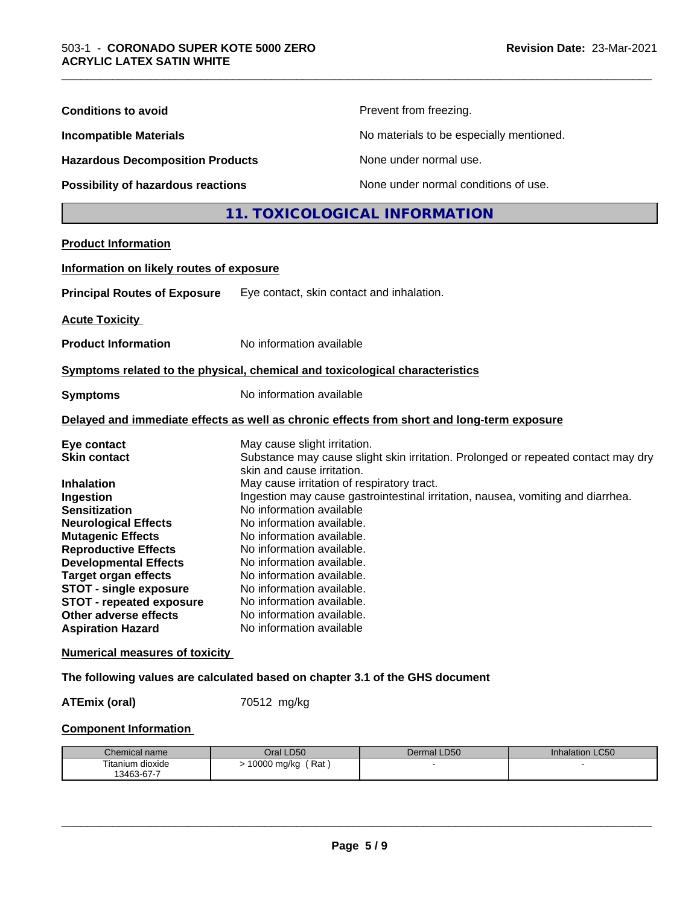| <b>Conditions to avoid</b>                                                                                                                                                                                                                                                                                                                                                                                              |                                                                                                                                                                                                                                                                                                                                                                                                          | Prevent from freezing.                                                                                                                                               |                 |  |
|-------------------------------------------------------------------------------------------------------------------------------------------------------------------------------------------------------------------------------------------------------------------------------------------------------------------------------------------------------------------------------------------------------------------------|----------------------------------------------------------------------------------------------------------------------------------------------------------------------------------------------------------------------------------------------------------------------------------------------------------------------------------------------------------------------------------------------------------|----------------------------------------------------------------------------------------------------------------------------------------------------------------------|-----------------|--|
| <b>Incompatible Materials</b><br><b>Hazardous Decomposition Products</b>                                                                                                                                                                                                                                                                                                                                                |                                                                                                                                                                                                                                                                                                                                                                                                          | No materials to be especially mentioned.                                                                                                                             |                 |  |
|                                                                                                                                                                                                                                                                                                                                                                                                                         |                                                                                                                                                                                                                                                                                                                                                                                                          | None under normal use.                                                                                                                                               |                 |  |
| Possibility of hazardous reactions                                                                                                                                                                                                                                                                                                                                                                                      |                                                                                                                                                                                                                                                                                                                                                                                                          | None under normal conditions of use.                                                                                                                                 |                 |  |
|                                                                                                                                                                                                                                                                                                                                                                                                                         |                                                                                                                                                                                                                                                                                                                                                                                                          | 11. TOXICOLOGICAL INFORMATION                                                                                                                                        |                 |  |
| <b>Product Information</b>                                                                                                                                                                                                                                                                                                                                                                                              |                                                                                                                                                                                                                                                                                                                                                                                                          |                                                                                                                                                                      |                 |  |
| Information on likely routes of exposure                                                                                                                                                                                                                                                                                                                                                                                |                                                                                                                                                                                                                                                                                                                                                                                                          |                                                                                                                                                                      |                 |  |
| <b>Principal Routes of Exposure</b>                                                                                                                                                                                                                                                                                                                                                                                     | Eye contact, skin contact and inhalation.                                                                                                                                                                                                                                                                                                                                                                |                                                                                                                                                                      |                 |  |
| <b>Acute Toxicity</b>                                                                                                                                                                                                                                                                                                                                                                                                   |                                                                                                                                                                                                                                                                                                                                                                                                          |                                                                                                                                                                      |                 |  |
| <b>Product Information</b>                                                                                                                                                                                                                                                                                                                                                                                              | No information available                                                                                                                                                                                                                                                                                                                                                                                 |                                                                                                                                                                      |                 |  |
| Symptoms related to the physical, chemical and toxicological characteristics                                                                                                                                                                                                                                                                                                                                            |                                                                                                                                                                                                                                                                                                                                                                                                          |                                                                                                                                                                      |                 |  |
| <b>Symptoms</b>                                                                                                                                                                                                                                                                                                                                                                                                         | No information available                                                                                                                                                                                                                                                                                                                                                                                 |                                                                                                                                                                      |                 |  |
| Delayed and immediate effects as well as chronic effects from short and long-term exposure                                                                                                                                                                                                                                                                                                                              |                                                                                                                                                                                                                                                                                                                                                                                                          |                                                                                                                                                                      |                 |  |
| Eye contact<br><b>Skin contact</b><br><b>Inhalation</b><br>Ingestion<br><b>Sensitization</b><br><b>Neurological Effects</b><br><b>Mutagenic Effects</b><br><b>Reproductive Effects</b><br><b>Developmental Effects</b><br><b>Target organ effects</b><br><b>STOT - single exposure</b><br><b>STOT - repeated exposure</b><br>Other adverse effects<br><b>Aspiration Hazard</b><br><b>Numerical measures of toxicity</b> | May cause slight irritation.<br>skin and cause irritation.<br>May cause irritation of respiratory tract.<br>No information available<br>No information available.<br>No information available.<br>No information available.<br>No information available.<br>No information available.<br>No information available.<br>No information available.<br>No information available.<br>No information available | Substance may cause slight skin irritation. Prolonged or repeated contact may dry<br>Ingestion may cause gastrointestinal irritation, nausea, vomiting and diarrhea. |                 |  |
| The following values are calculated based on chapter 3.1 of the GHS document                                                                                                                                                                                                                                                                                                                                            |                                                                                                                                                                                                                                                                                                                                                                                                          |                                                                                                                                                                      |                 |  |
| <b>ATEmix (oral)</b>                                                                                                                                                                                                                                                                                                                                                                                                    | 70512 mg/kg                                                                                                                                                                                                                                                                                                                                                                                              |                                                                                                                                                                      |                 |  |
| <b>Component Information</b>                                                                                                                                                                                                                                                                                                                                                                                            |                                                                                                                                                                                                                                                                                                                                                                                                          |                                                                                                                                                                      |                 |  |
|                                                                                                                                                                                                                                                                                                                                                                                                                         |                                                                                                                                                                                                                                                                                                                                                                                                          |                                                                                                                                                                      |                 |  |
| Chemical name<br>Titanium dioxide<br>13463-67-7                                                                                                                                                                                                                                                                                                                                                                         | Oral LD50<br>> 10000 mg/kg (Rat)                                                                                                                                                                                                                                                                                                                                                                         | Dermal LD50                                                                                                                                                          | Inhalation LC50 |  |

\_\_\_\_\_\_\_\_\_\_\_\_\_\_\_\_\_\_\_\_\_\_\_\_\_\_\_\_\_\_\_\_\_\_\_\_\_\_\_\_\_\_\_\_\_\_\_\_\_\_\_\_\_\_\_\_\_\_\_\_\_\_\_\_\_\_\_\_\_\_\_\_\_\_\_\_\_\_\_\_\_\_\_\_\_\_\_\_\_\_\_\_\_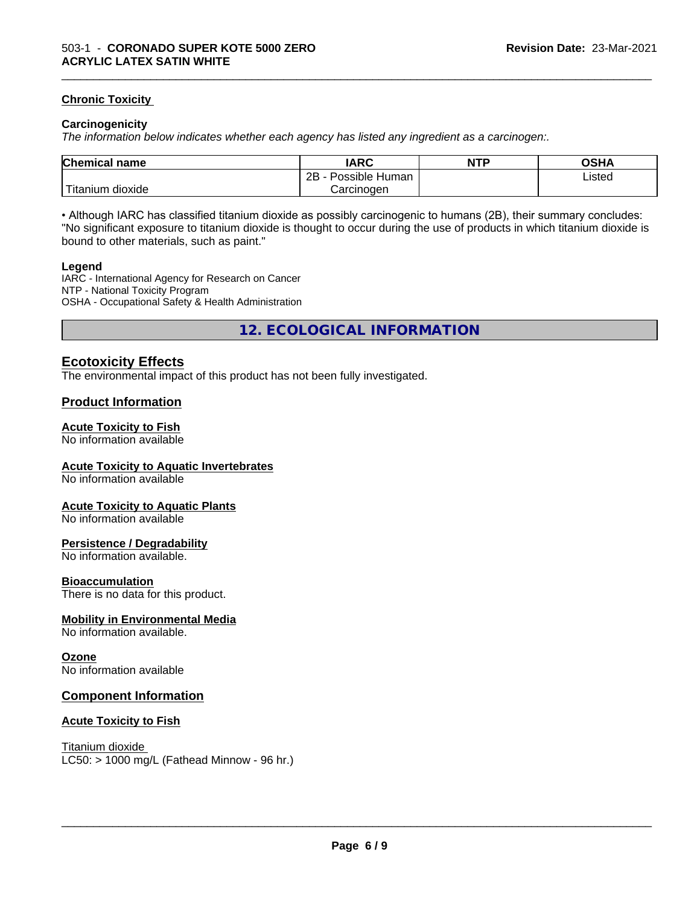#### **Chronic Toxicity**

#### **Carcinogenicity**

*The information below indicateswhether each agency has listed any ingredient as a carcinogen:.*

| <b>Chemical</b><br>name    | <b>IARC</b>                    | <b>NTP</b> | OSHA   |
|----------------------------|--------------------------------|------------|--------|
|                            | . .<br>2B<br>Human<br>Possible |            | Listed |
| .<br>. dioxide<br>⊺itanium | Carcinogen                     |            |        |

\_\_\_\_\_\_\_\_\_\_\_\_\_\_\_\_\_\_\_\_\_\_\_\_\_\_\_\_\_\_\_\_\_\_\_\_\_\_\_\_\_\_\_\_\_\_\_\_\_\_\_\_\_\_\_\_\_\_\_\_\_\_\_\_\_\_\_\_\_\_\_\_\_\_\_\_\_\_\_\_\_\_\_\_\_\_\_\_\_\_\_\_\_

• Although IARC has classified titanium dioxide as possibly carcinogenic to humans (2B), their summary concludes: "No significant exposure to titanium dioxide is thought to occur during the use of products in which titanium dioxide is bound to other materials, such as paint."

#### **Legend**

IARC - International Agency for Research on Cancer NTP - National Toxicity Program OSHA - Occupational Safety & Health Administration

**12. ECOLOGICAL INFORMATION**

#### **Ecotoxicity Effects**

The environmental impact of this product has not been fully investigated.

#### **Product Information**

#### **Acute Toxicity to Fish**

No information available

#### **Acute Toxicity to Aquatic Invertebrates**

No information available

#### **Acute Toxicity to Aquatic Plants**

No information available

#### **Persistence / Degradability**

No information available.

#### **Bioaccumulation**

There is no data for this product.

#### **Mobility in Environmental Media**

No information available.

#### **Ozone**

No information available

#### **Component Information**

#### **Acute Toxicity to Fish**

Titanium dioxide  $LC50:$  > 1000 mg/L (Fathead Minnow - 96 hr.)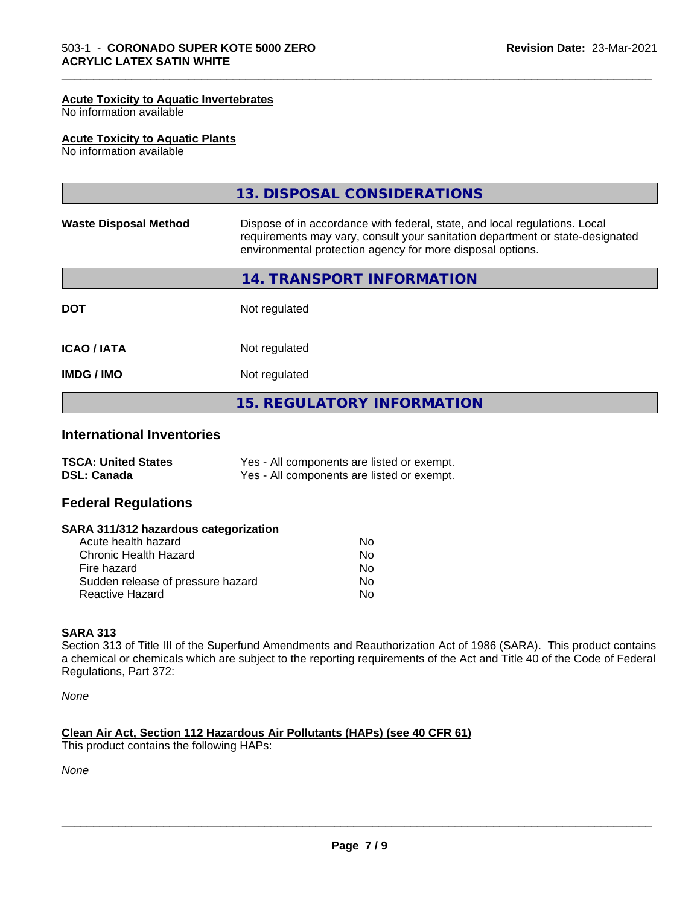#### **Acute Toxicity to Aquatic Invertebrates**

No information available

#### **Acute Toxicity to Aquatic Plants**

No information available

|                              | 13. DISPOSAL CONSIDERATIONS                                                                                                                                                                                               |
|------------------------------|---------------------------------------------------------------------------------------------------------------------------------------------------------------------------------------------------------------------------|
| <b>Waste Disposal Method</b> | Dispose of in accordance with federal, state, and local regulations. Local<br>requirements may vary, consult your sanitation department or state-designated<br>environmental protection agency for more disposal options. |
|                              | 14. TRANSPORT INFORMATION                                                                                                                                                                                                 |
| <b>DOT</b>                   | Not regulated                                                                                                                                                                                                             |
| <b>ICAO/IATA</b>             | Not regulated                                                                                                                                                                                                             |
| <b>IMDG / IMO</b>            | Not regulated                                                                                                                                                                                                             |
|                              | <b>15. REGULATORY INFORMATION</b>                                                                                                                                                                                         |

\_\_\_\_\_\_\_\_\_\_\_\_\_\_\_\_\_\_\_\_\_\_\_\_\_\_\_\_\_\_\_\_\_\_\_\_\_\_\_\_\_\_\_\_\_\_\_\_\_\_\_\_\_\_\_\_\_\_\_\_\_\_\_\_\_\_\_\_\_\_\_\_\_\_\_\_\_\_\_\_\_\_\_\_\_\_\_\_\_\_\_\_\_

#### **International Inventories**

| <b>TSCA: United States</b> | Yes - All components are listed or exempt. |
|----------------------------|--------------------------------------------|
| <b>DSL: Canada</b>         | Yes - All components are listed or exempt. |

#### **Federal Regulations**

#### **SARA 311/312 hazardous categorization**

| Acute health hazard               | Nο |  |
|-----------------------------------|----|--|
| Chronic Health Hazard             | N٥ |  |
| Fire hazard                       | Nο |  |
| Sudden release of pressure hazard | Nο |  |
| Reactive Hazard                   | Nο |  |

#### **SARA 313**

Section 313 of Title III of the Superfund Amendments and Reauthorization Act of 1986 (SARA). This product contains a chemical or chemicals which are subject to the reporting requirements of the Act and Title 40 of the Code of Federal Regulations, Part 372:

*None*

#### **Clean Air Act,Section 112 Hazardous Air Pollutants (HAPs) (see 40 CFR 61)**

This product contains the following HAPs:

*None*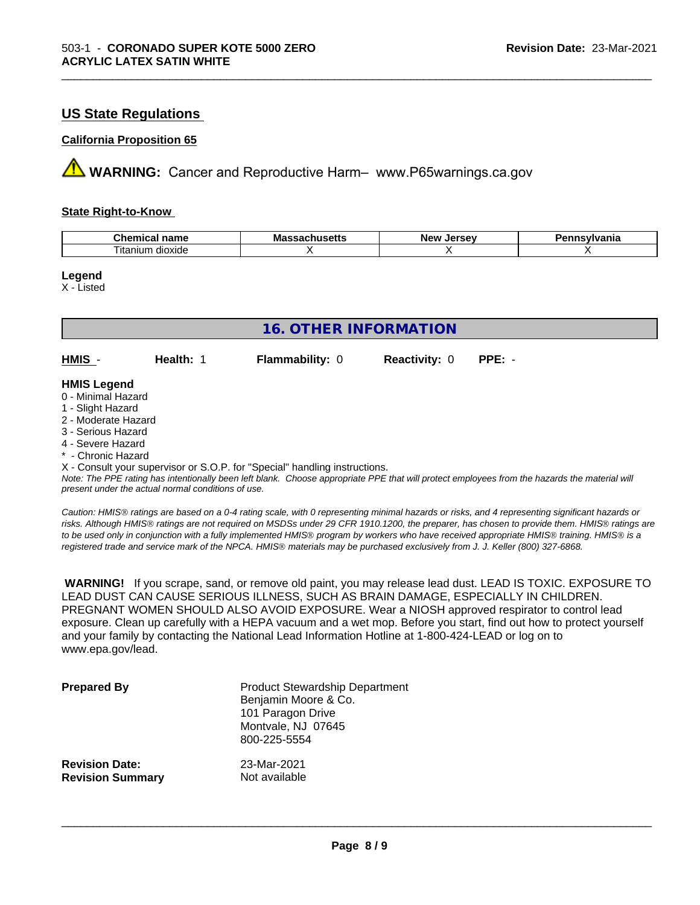#### **US State Regulations**

#### **California Proposition 65**

**A** WARNING: Cancer and Reproductive Harm– www.P65warnings.ca.gov

#### **State Right-to-Know**

| ъ.<br>$ -$<br>$n_{max}$<br>nemical<br>name<br>.            | Ma<br>пиэспэ<br>. | Iarcav<br>Ne'<br>--<br>-35 | /Ivania |
|------------------------------------------------------------|-------------------|----------------------------|---------|
| $\overline{\phantom{a}}$<br>$\sim$<br>dioxide<br>, itanıum |                   |                            |         |

\_\_\_\_\_\_\_\_\_\_\_\_\_\_\_\_\_\_\_\_\_\_\_\_\_\_\_\_\_\_\_\_\_\_\_\_\_\_\_\_\_\_\_\_\_\_\_\_\_\_\_\_\_\_\_\_\_\_\_\_\_\_\_\_\_\_\_\_\_\_\_\_\_\_\_\_\_\_\_\_\_\_\_\_\_\_\_\_\_\_\_\_\_

**Legend**

X - Listed

| <b>16. OTHER INFORMATION</b> |           |                                                                            |                      |          |  |
|------------------------------|-----------|----------------------------------------------------------------------------|----------------------|----------|--|
| HMIS -                       | Health: 1 | <b>Flammability: 0</b>                                                     | <b>Reactivity: 0</b> | $PPE: -$ |  |
| <b>HMIS Legend</b>           |           |                                                                            |                      |          |  |
| 0 - Minimal Hazard           |           |                                                                            |                      |          |  |
| 1 - Slight Hazard            |           |                                                                            |                      |          |  |
| 2 - Moderate Hazard          |           |                                                                            |                      |          |  |
| 3 - Serious Hazard           |           |                                                                            |                      |          |  |
| 4 - Severe Hazard            |           |                                                                            |                      |          |  |
| * - Chronic Hazard           |           |                                                                            |                      |          |  |
|                              |           | X - Consult your supervisor or S.O.P. for "Special" handling instructions. |                      |          |  |

*Note: The PPE rating has intentionally been left blank. Choose appropriate PPE that will protect employees from the hazards the material will present under the actual normal conditions of use.*

*Caution: HMISÒ ratings are based on a 0-4 rating scale, with 0 representing minimal hazards or risks, and 4 representing significant hazards or risks. Although HMISÒ ratings are not required on MSDSs under 29 CFR 1910.1200, the preparer, has chosen to provide them. HMISÒ ratings are to be used only in conjunction with a fully implemented HMISÒ program by workers who have received appropriate HMISÒ training. HMISÒ is a registered trade and service mark of the NPCA. HMISÒ materials may be purchased exclusively from J. J. Keller (800) 327-6868.*

 **WARNING!** If you scrape, sand, or remove old paint, you may release lead dust. LEAD IS TOXIC. EXPOSURE TO LEAD DUST CAN CAUSE SERIOUS ILLNESS, SUCH AS BRAIN DAMAGE, ESPECIALLY IN CHILDREN. PREGNANT WOMEN SHOULD ALSO AVOID EXPOSURE.Wear a NIOSH approved respirator to control lead exposure. Clean up carefully with a HEPA vacuum and a wet mop. Before you start, find out how to protect yourself and your family by contacting the National Lead Information Hotline at 1-800-424-LEAD or log on to www.epa.gov/lead.

| <b>Prepared By</b>      | <b>Product Stewardship Department</b><br>Benjamin Moore & Co.<br>101 Paragon Drive<br>Montvale, NJ 07645<br>800-225-5554 |
|-------------------------|--------------------------------------------------------------------------------------------------------------------------|
| <b>Revision Date:</b>   | 23-Mar-2021                                                                                                              |
| <b>Revision Summary</b> | Not available                                                                                                            |